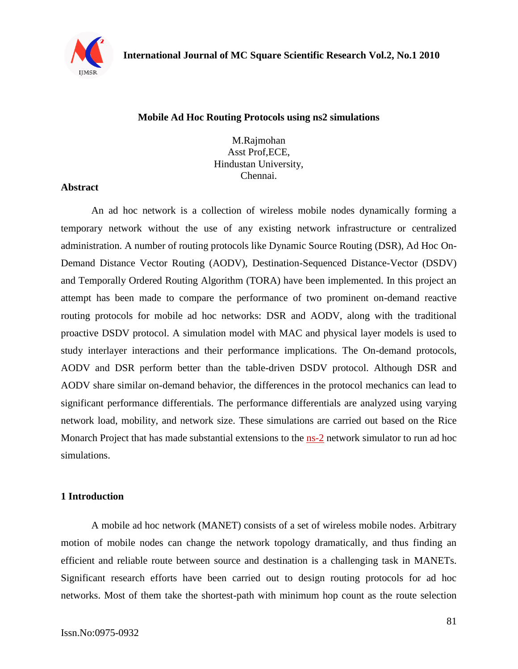

#### **Mobile Ad Hoc Routing Protocols using ns2 simulations**

M.Rajmohan Asst Prof,ECE, Hindustan University, Chennai.

#### **Abstract**

An ad hoc network is a collection of wireless mobile nodes dynamically forming a temporary network without the use of any existing network infrastructure or centralized administration. A number of routing protocols like Dynamic Source Routing (DSR), Ad Hoc On-Demand Distance Vector Routing (AODV), Destination-Sequenced Distance-Vector (DSDV) and Temporally Ordered Routing Algorithm (TORA) have been implemented. In this project an attempt has been made to compare the performance of two prominent on-demand reactive routing protocols for mobile ad hoc networks: DSR and AODV, along with the traditional proactive DSDV protocol. A simulation model with MAC and physical layer models is used to study interlayer interactions and their performance implications. The On-demand protocols, AODV and DSR perform better than the table-driven DSDV protocol. Although DSR and AODV share similar on-demand behavior, the differences in the protocol mechanics can lead to significant performance differentials. The performance differentials are analyzed using varying network load, mobility, and network size. These simulations are carried out based on the Rice Monarch Project that has made substantial extensions to the [ns-2](http://www.isi.edu/nsnam/ns/) network simulator to run ad hoc simulations.

### **1 Introduction**

A mobile ad hoc network (MANET) consists of a set of wireless mobile nodes. Arbitrary motion of mobile nodes can change the network topology dramatically, and thus finding an efficient and reliable route between source and destination is a challenging task in MANETs. Significant research efforts have been carried out to design routing protocols for ad hoc networks. Most of them take the shortest-path with minimum hop count as the route selection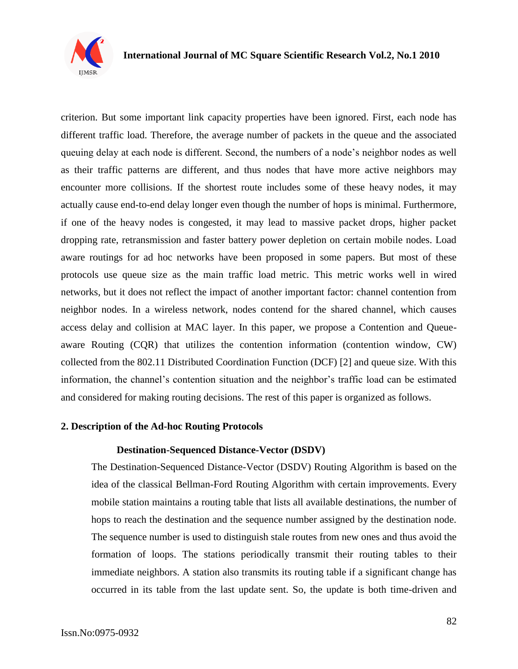

criterion. But some important link capacity properties have been ignored. First, each node has different traffic load. Therefore, the average number of packets in the queue and the associated queuing delay at each node is different. Second, the numbers of a node's neighbor nodes as well as their traffic patterns are different, and thus nodes that have more active neighbors may encounter more collisions. If the shortest route includes some of these heavy nodes, it may actually cause end-to-end delay longer even though the number of hops is minimal. Furthermore, if one of the heavy nodes is congested, it may lead to massive packet drops, higher packet dropping rate, retransmission and faster battery power depletion on certain mobile nodes. Load aware routings for ad hoc networks have been proposed in some papers. But most of these protocols use queue size as the main traffic load metric. This metric works well in wired networks, but it does not reflect the impact of another important factor: channel contention from neighbor nodes. In a wireless network, nodes contend for the shared channel, which causes access delay and collision at MAC layer. In this paper, we propose a Contention and Queueaware Routing (CQR) that utilizes the contention information (contention window, CW) collected from the 802.11 Distributed Coordination Function (DCF) [2] and queue size. With this information, the channel's contention situation and the neighbor's traffic load can be estimated and considered for making routing decisions. The rest of this paper is organized as follows.

### **2. Description of the Ad-hoc Routing Protocols**

### **Destination-Sequenced Distance-Vector (DSDV)**

The Destination-Sequenced Distance-Vector (DSDV) Routing Algorithm is based on the idea of the classical Bellman-Ford Routing Algorithm with certain improvements. Every mobile station maintains a routing table that lists all available destinations, the number of hops to reach the destination and the sequence number assigned by the destination node. The sequence number is used to distinguish stale routes from new ones and thus avoid the formation of loops. The stations periodically transmit their routing tables to their immediate neighbors. A station also transmits its routing table if a significant change has occurred in its table from the last update sent. So, the update is both time-driven and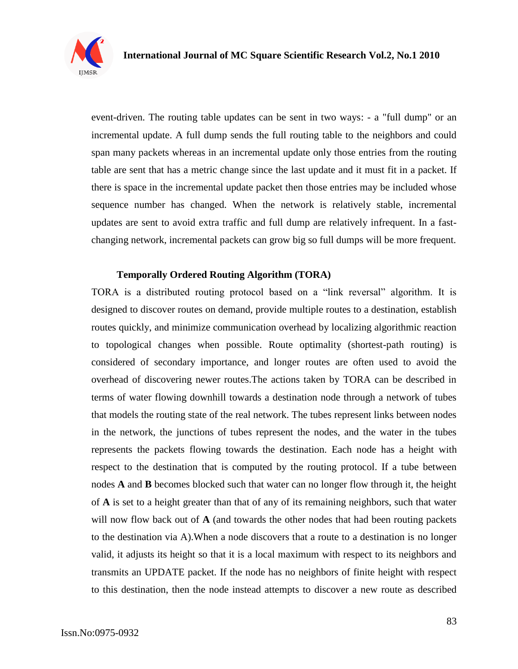

event-driven. The routing table updates can be sent in two ways: - a "full dump" or an incremental update. A full dump sends the full routing table to the neighbors and could span many packets whereas in an incremental update only those entries from the routing table are sent that has a metric change since the last update and it must fit in a packet. If there is space in the incremental update packet then those entries may be included whose sequence number has changed. When the network is relatively stable, incremental updates are sent to avoid extra traffic and full dump are relatively infrequent. In a fastchanging network, incremental packets can grow big so full dumps will be more frequent.

### **Temporally Ordered Routing Algorithm (TORA)**

TORA is a distributed routing protocol based on a "link reversal" algorithm. It is designed to discover routes on demand, provide multiple routes to a destination, establish routes quickly, and minimize communication overhead by localizing algorithmic reaction to topological changes when possible. Route optimality (shortest-path routing) is considered of secondary importance, and longer routes are often used to avoid the overhead of discovering newer routes.The actions taken by TORA can be described in terms of water flowing downhill towards a destination node through a network of tubes that models the routing state of the real network. The tubes represent links between nodes in the network, the junctions of tubes represent the nodes, and the water in the tubes represents the packets flowing towards the destination. Each node has a height with respect to the destination that is computed by the routing protocol. If a tube between nodes **A** and **B** becomes blocked such that water can no longer flow through it, the height of **A** is set to a height greater than that of any of its remaining neighbors, such that water will now flow back out of **A** (and towards the other nodes that had been routing packets to the destination via A).When a node discovers that a route to a destination is no longer valid, it adjusts its height so that it is a local maximum with respect to its neighbors and transmits an UPDATE packet. If the node has no neighbors of finite height with respect to this destination, then the node instead attempts to discover a new route as described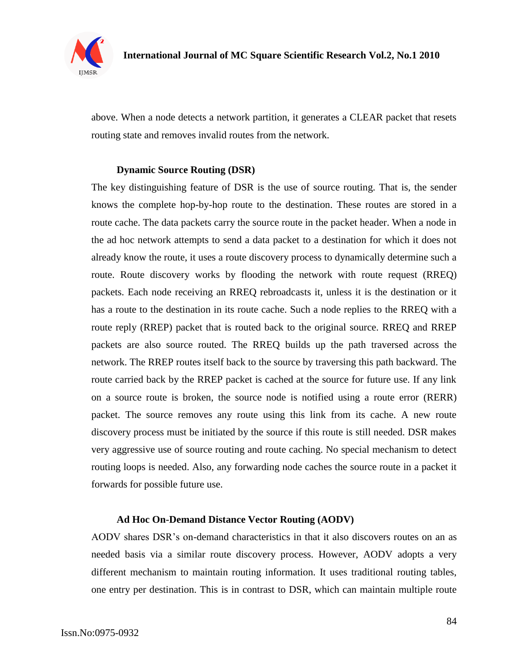

above. When a node detects a network partition, it generates a CLEAR packet that resets routing state and removes invalid routes from the network.

### **Dynamic Source Routing (DSR)**

The key distinguishing feature of DSR is the use of source routing. That is, the sender knows the complete hop-by-hop route to the destination. These routes are stored in a route cache. The data packets carry the source route in the packet header. When a node in the ad hoc network attempts to send a data packet to a destination for which it does not already know the route, it uses a route discovery process to dynamically determine such a route. Route discovery works by flooding the network with route request (RREQ) packets. Each node receiving an RREQ rebroadcasts it, unless it is the destination or it has a route to the destination in its route cache. Such a node replies to the RREQ with a route reply (RREP) packet that is routed back to the original source. RREQ and RREP packets are also source routed. The RREQ builds up the path traversed across the network. The RREP routes itself back to the source by traversing this path backward. The route carried back by the RREP packet is cached at the source for future use. If any link on a source route is broken, the source node is notified using a route error (RERR) packet. The source removes any route using this link from its cache. A new route discovery process must be initiated by the source if this route is still needed. DSR makes very aggressive use of source routing and route caching. No special mechanism to detect routing loops is needed. Also, any forwarding node caches the source route in a packet it forwards for possible future use.

## **Ad Hoc On-Demand Distance Vector Routing (AODV)**

AODV shares DSR's on-demand characteristics in that it also discovers routes on an as needed basis via a similar route discovery process. However, AODV adopts a very different mechanism to maintain routing information. It uses traditional routing tables, one entry per destination. This is in contrast to DSR, which can maintain multiple route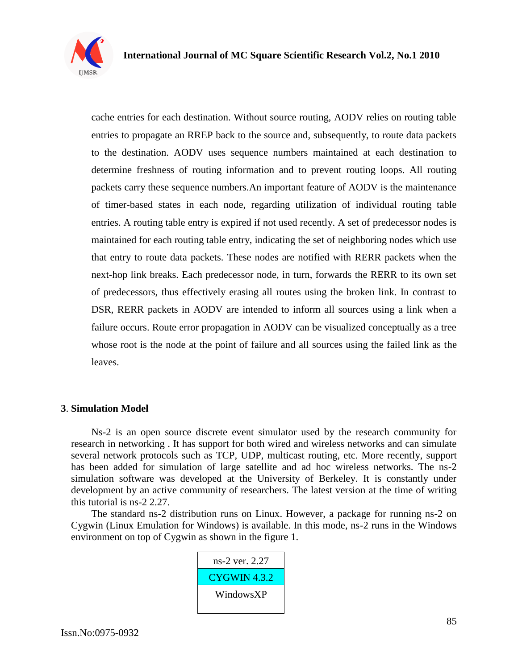

cache entries for each destination. Without source routing, AODV relies on routing table entries to propagate an RREP back to the source and, subsequently, to route data packets to the destination. AODV uses sequence numbers maintained at each destination to determine freshness of routing information and to prevent routing loops. All routing packets carry these sequence numbers.An important feature of AODV is the maintenance of timer-based states in each node, regarding utilization of individual routing table entries. A routing table entry is expired if not used recently. A set of predecessor nodes is maintained for each routing table entry, indicating the set of neighboring nodes which use that entry to route data packets. These nodes are notified with RERR packets when the next-hop link breaks. Each predecessor node, in turn, forwards the RERR to its own set of predecessors, thus effectively erasing all routes using the broken link. In contrast to DSR, RERR packets in AODV are intended to inform all sources using a link when a failure occurs. Route error propagation in AODV can be visualized conceptually as a tree whose root is the node at the point of failure and all sources using the failed link as the leaves.

### **3**. **Simulation Model**

Ns-2 is an open source discrete event simulator used by the research community for research in networking . It has support for both wired and wireless networks and can simulate several network protocols such as TCP, UDP, multicast routing, etc. More recently, support has been added for simulation of large satellite and ad hoc wireless networks. The ns-2 simulation software was developed at the University of Berkeley. It is constantly under development by an active community of researchers. The latest version at the time of writing this tutorial is ns-2 2.27.

The standard ns-2 distribution runs on Linux. However, a package for running ns-2 on Cygwin (Linux Emulation for Windows) is available. In this mode, ns-2 runs in the Windows environment on top of Cygwin as shown in the figure 1.

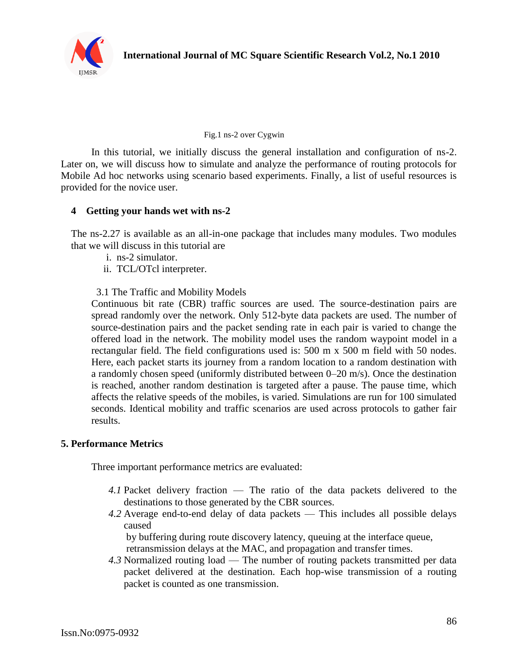

Fig.1 ns-2 over Cygwin

In this tutorial, we initially discuss the general installation and configuration of ns-2. Later on, we will discuss how to simulate and analyze the performance of routing protocols for Mobile Ad hoc networks using scenario based experiments. Finally, a list of useful resources is provided for the novice user.

# **4 Getting your hands wet with ns-2**

The ns-2.27 is available as an all-in-one package that includes many modules. Two modules that we will discuss in this tutorial are

- i. ns-2 simulator.
- ii. TCL/OTcl interpreter.
- 3.1 The Traffic and Mobility Models

Continuous bit rate (CBR) traffic sources are used. The source-destination pairs are spread randomly over the network. Only 512-byte data packets are used. The number of source-destination pairs and the packet sending rate in each pair is varied to change the offered load in the network. The mobility model uses the random waypoint model in a rectangular field. The field configurations used is: 500 m x 500 m field with 50 nodes. Here, each packet starts its journey from a random location to a random destination with a randomly chosen speed (uniformly distributed between 0–20 m/s). Once the destination is reached, another random destination is targeted after a pause. The pause time, which affects the relative speeds of the mobiles, is varied. Simulations are run for 100 simulated seconds. Identical mobility and traffic scenarios are used across protocols to gather fair results.

## **5. Performance Metrics**

Three important performance metrics are evaluated:

- *4.1* Packet delivery fraction The ratio of the data packets delivered to the destinations to those generated by the CBR sources.
- *4.2* Average end-to-end delay of data packets This includes all possible delays caused

 by buffering during route discovery latency, queuing at the interface queue, retransmission delays at the MAC, and propagation and transfer times.

*4.3* Normalized routing load — The number of routing packets transmitted per data packet delivered at the destination. Each hop-wise transmission of a routing packet is counted as one transmission.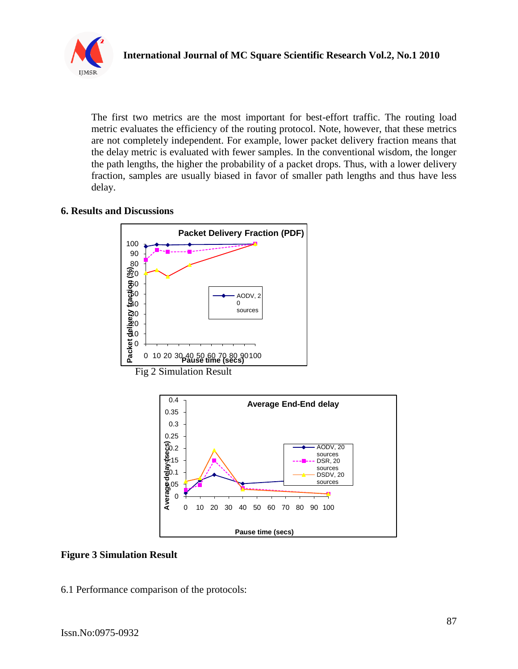

The first two metrics are the most important for best-effort traffic. The routing load metric evaluates the efficiency of the routing protocol. Note, however, that these metrics are not completely independent. For example, lower packet delivery fraction means that the delay metric is evaluated with fewer samples. In the conventional wisdom, the longer the path lengths, the higher the probability of a packet drops. Thus, with a lower delivery fraction, samples are usually biased in favor of smaller path lengths and thus have less delay.

### **6. Results and Discussions**



**Figure 3 Simulation Result**

6.1 Performance comparison of the protocols: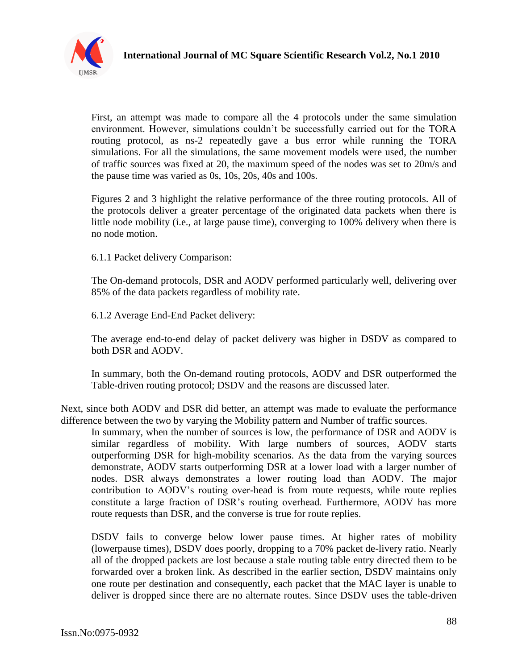

First, an attempt was made to compare all the 4 protocols under the same simulation environment. However, simulations couldn't be successfully carried out for the TORA routing protocol, as ns-2 repeatedly gave a bus error while running the TORA simulations. For all the simulations, the same movement models were used, the number of traffic sources was fixed at 20, the maximum speed of the nodes was set to 20m/s and the pause time was varied as 0s, 10s, 20s, 40s and 100s.

Figures 2 and 3 highlight the relative performance of the three routing protocols. All of the protocols deliver a greater percentage of the originated data packets when there is little node mobility (i.e., at large pause time), converging to 100% delivery when there is no node motion.

6.1.1 Packet delivery Comparison:

The On-demand protocols, DSR and AODV performed particularly well, delivering over 85% of the data packets regardless of mobility rate.

6.1.2 Average End-End Packet delivery:

The average end-to-end delay of packet delivery was higher in DSDV as compared to both DSR and AODV.

In summary, both the On-demand routing protocols, AODV and DSR outperformed the Table-driven routing protocol; DSDV and the reasons are discussed later.

Next, since both AODV and DSR did better, an attempt was made to evaluate the performance difference between the two by varying the Mobility pattern and Number of traffic sources.

In summary, when the number of sources is low, the performance of DSR and AODV is similar regardless of mobility. With large numbers of sources, AODV starts outperforming DSR for high-mobility scenarios. As the data from the varying sources demonstrate, AODV starts outperforming DSR at a lower load with a larger number of nodes. DSR always demonstrates a lower routing load than AODV. The major contribution to AODV's routing over-head is from route requests, while route replies constitute a large fraction of DSR's routing overhead. Furthermore, AODV has more route requests than DSR, and the converse is true for route replies.

DSDV fails to converge below lower pause times. At higher rates of mobility (lowerpause times), DSDV does poorly, dropping to a 70% packet de-livery ratio. Nearly all of the dropped packets are lost because a stale routing table entry directed them to be forwarded over a broken link. As described in the earlier section, DSDV maintains only one route per destination and consequently, each packet that the MAC layer is unable to deliver is dropped since there are no alternate routes. Since DSDV uses the table-driven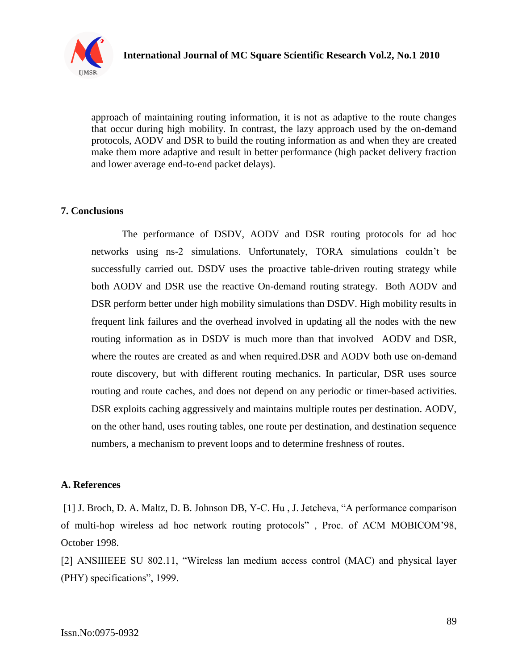

approach of maintaining routing information, it is not as adaptive to the route changes that occur during high mobility. In contrast, the lazy approach used by the on-demand protocols, AODV and DSR to build the routing information as and when they are created make them more adaptive and result in better performance (high packet delivery fraction and lower average end-to-end packet delays).

# **7. Conclusions**

The performance of DSDV, AODV and DSR routing protocols for ad hoc networks using ns-2 simulations. Unfortunately, TORA simulations couldn't be successfully carried out. DSDV uses the proactive table-driven routing strategy while both AODV and DSR use the reactive On-demand routing strategy. Both AODV and DSR perform better under high mobility simulations than DSDV. High mobility results in frequent link failures and the overhead involved in updating all the nodes with the new routing information as in DSDV is much more than that involved AODV and DSR, where the routes are created as and when required.DSR and AODV both use on-demand route discovery, but with different routing mechanics. In particular, DSR uses source routing and route caches, and does not depend on any periodic or timer-based activities. DSR exploits caching aggressively and maintains multiple routes per destination. AODV, on the other hand, uses routing tables, one route per destination, and destination sequence numbers, a mechanism to prevent loops and to determine freshness of routes.

## **A. References**

[1] J. Broch, D. A. Maltz, D. B. Johnson DB, Y-C. Hu, J. Jetcheva, "A performance comparison of multi-hop wireless ad hoc network routing protocols", Proc. of ACM MOBICOM'98, October 1998.

[2] ANSIIIEEE SU 802.11, "Wireless lan medium access control (MAC) and physical layer (PHY) specifications", 1999.